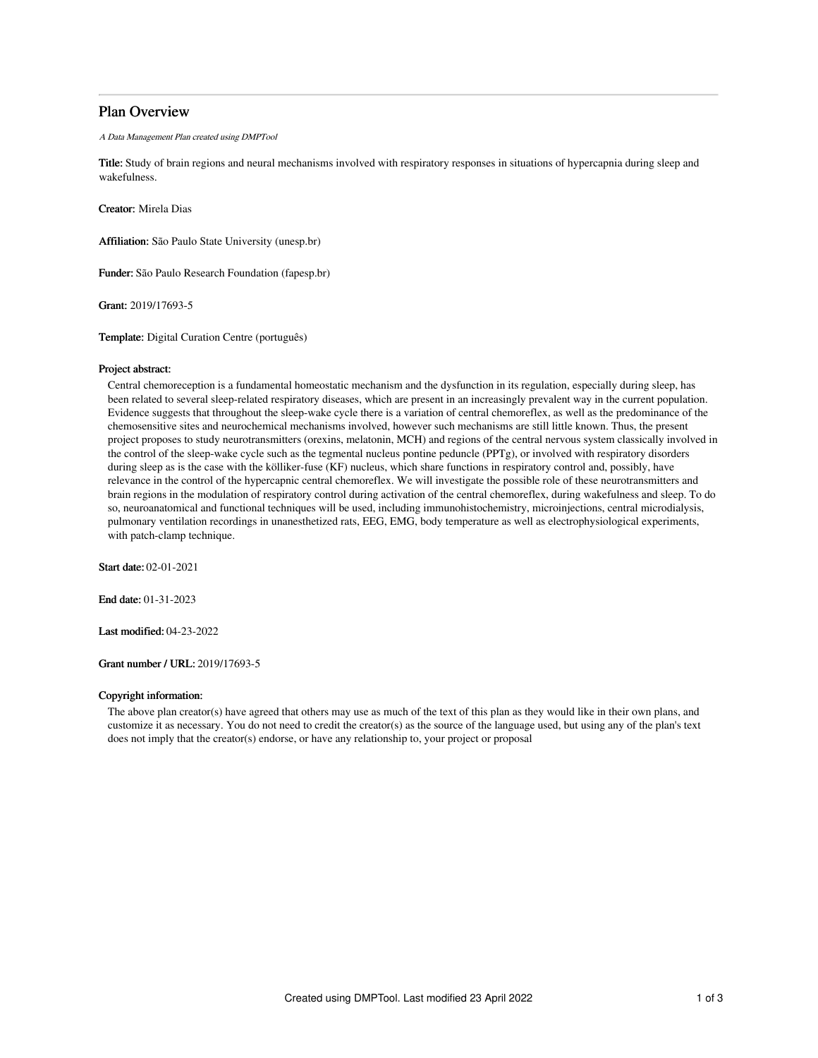## Plan Overview

A Data Management Plan created using DMPTool

Title: Study of brain regions and neural mechanisms involved with respiratory responses in situations of hypercapnia during sleep and wakefulness.

Creator: Mirela Dias

Affiliation: São Paulo State University (unesp.br)

Funder: São Paulo Research Foundation (fapesp.br)

Grant: 2019/17693-5

Template: Digital Curation Centre (português)

#### Project abstract:

Central chemoreception is a fundamental homeostatic mechanism and the dysfunction in its regulation, especially during sleep, has been related to several sleep-related respiratory diseases, which are present in an increasingly prevalent way in the current population. Evidence suggests that throughout the sleep-wake cycle there is a variation of central chemoreflex, as well as the predominance of the chemosensitive sites and neurochemical mechanisms involved, however such mechanisms are still little known. Thus, the present project proposes to study neurotransmitters (orexins, melatonin, MCH) and regions of the central nervous system classically involved in the control of the sleep-wake cycle such as the tegmental nucleus pontine peduncle (PPTg), or involved with respiratory disorders during sleep as is the case with the kölliker-fuse (KF) nucleus, which share functions in respiratory control and, possibly, have relevance in the control of the hypercapnic central chemoreflex. We will investigate the possible role of these neurotransmitters and brain regions in the modulation of respiratory control during activation of the central chemoreflex, during wakefulness and sleep. To do so, neuroanatomical and functional techniques will be used, including immunohistochemistry, microinjections, central microdialysis, pulmonary ventilation recordings in unanesthetized rats, EEG, EMG, body temperature as well as electrophysiological experiments, with patch-clamp technique.

Start date: 02-01-2021

End date: 01-31-2023

Last modified: 04-23-2022

Grant number / URL: 2019/17693-5

## Copyright information:

The above plan creator(s) have agreed that others may use as much of the text of this plan as they would like in their own plans, and customize it as necessary. You do not need to credit the creator(s) as the source of the language used, but using any of the plan's text does not imply that the creator(s) endorse, or have any relationship to, your project or proposal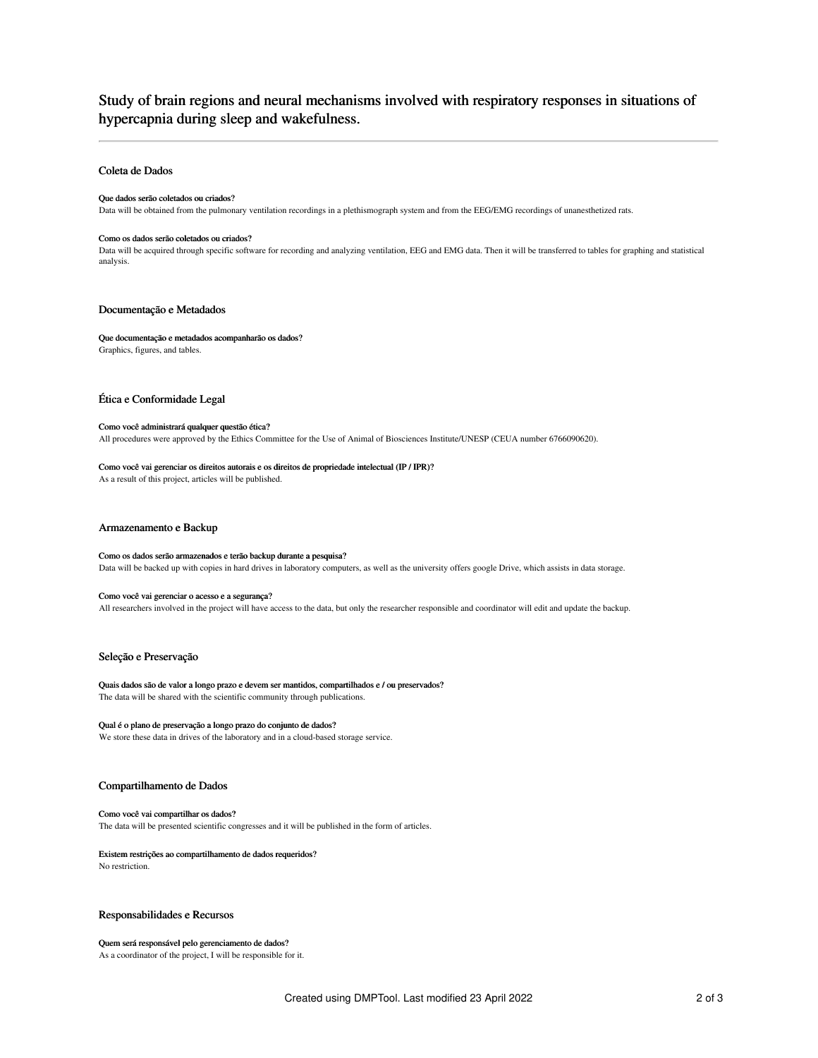# Study of brain regions and neural mechanisms involved with respiratory responses in situations of hypercapnia during sleep and wakefulness.

## Coleta de Dados

#### Que dados serão coletados ou criados?

Data will be obtained from the pulmonary ventilation recordings in a plethismograph system and from the EEG/EMG recordings of unanesthetized rats.

#### Como os dados serão coletados ou criados?

Data will be acquired through specific software for recording and analyzing ventilation, EEG and EMG data. Then it will be transferred to tables for graphing and statistical analysis.

## Documentação e Metadados

Que documentação e metadados acompanharão os dados? Graphics, figures, and tables.

## Ética e Conformidade Legal

#### Como você administrará qualquer questão ética?

All procedures were approved by the Ethics Committee for the Use of Animal of Biosciences Institute/UNESP (CEUA number 6766090620).

#### Como você vai gerenciar os direitos autorais e os direitos de propriedade intelectual (IP / IPR)?

As a result of this project, articles will be published.

### Armazenamento e Backup

#### Como os dados serão armazenados e terão backup durante a pesquisa?

Data will be backed up with copies in hard drives in laboratory computers, as well as the university offers google Drive, which assists in data storage.

## Como você vai gerenciar o acesso e a segurança?

All researchers involved in the project will have access to the data, but only the researcher responsible and coordinator will edit and update the backup.

### Seleção e Preservação

Quais dados são de valor a longo prazo e devem ser mantidos, compartilhados e / ou preservados? The data will be shared with the scientific community through publications.

## Qual é o plano de preservação a longo prazo do conjunto de dados?

We store these data in drives of the laboratory and in a cloud-based storage service.

## Compartilhamento de Dados

#### Como você vai compartilhar os dados? The data will be presented scientific congresses and it will be published in the form of articles.

#### Existem restrições ao compartilhamento de dados requeridos? No restriction.

### Responsabilidades e Recursos

### Quem será responsável pelo gerenciamento de dados? As a coordinator of the project, I will be responsible for it.